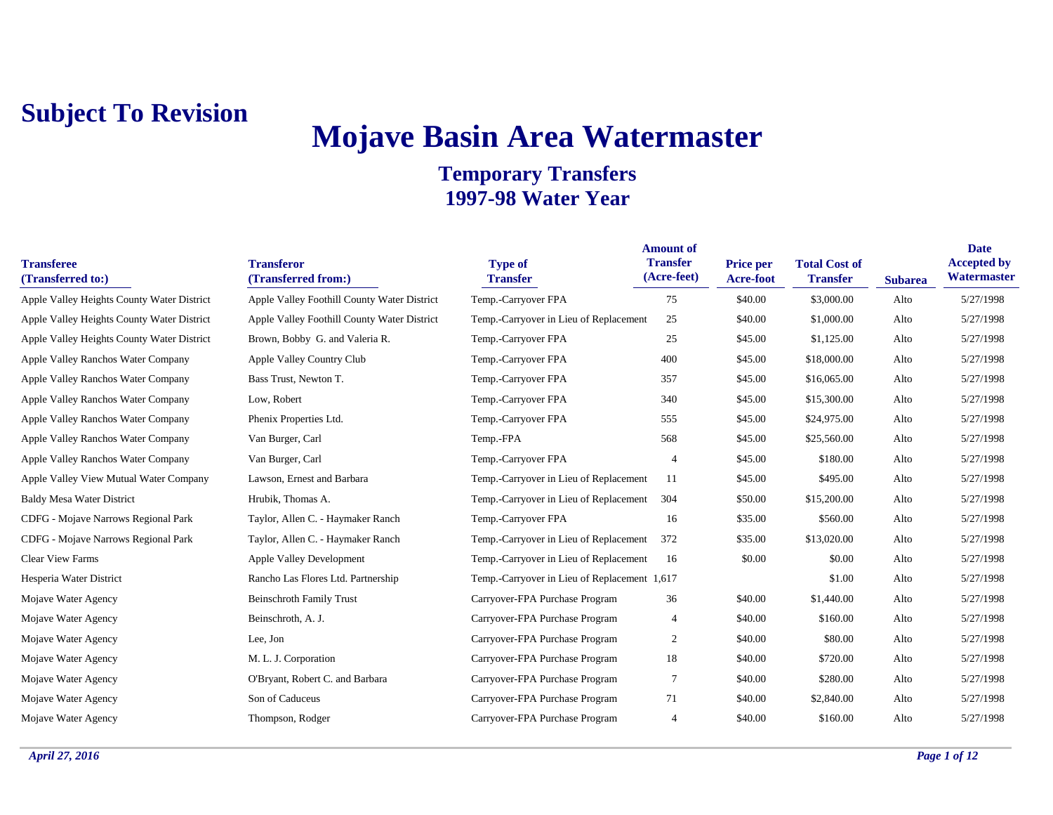# **Mojave Basin Area Watermaster**

| <b>Transferee</b><br>(Transferred to:)     | <b>Transferor</b><br>(Transferred from:)    | <b>Type of</b><br><b>Transfer</b>            | <b>Amount of</b><br><b>Transfer</b><br>(Acre-feet) | <b>Price per</b><br>Acre-foot | <b>Total Cost of</b><br><b>Transfer</b> | <b>Subarea</b> | <b>Date</b><br><b>Accepted by</b><br>Watermaster |
|--------------------------------------------|---------------------------------------------|----------------------------------------------|----------------------------------------------------|-------------------------------|-----------------------------------------|----------------|--------------------------------------------------|
| Apple Valley Heights County Water District | Apple Valley Foothill County Water District | Temp.-Carryover FPA                          | 75                                                 | \$40.00                       | \$3,000.00                              | Alto           | 5/27/1998                                        |
| Apple Valley Heights County Water District | Apple Valley Foothill County Water District | Temp.-Carryover in Lieu of Replacement       | 25                                                 | \$40.00                       | \$1,000.00                              | Alto           | 5/27/1998                                        |
| Apple Valley Heights County Water District | Brown, Bobby G. and Valeria R.              | Temp.-Carryover FPA                          | 25                                                 | \$45.00                       | \$1,125.00                              | Alto           | 5/27/1998                                        |
| Apple Valley Ranchos Water Company         | Apple Valley Country Club                   | Temp.-Carryover FPA                          | 400                                                | \$45.00                       | \$18,000.00                             | Alto           | 5/27/1998                                        |
| Apple Valley Ranchos Water Company         | Bass Trust, Newton T.                       | Temp.-Carryover FPA                          | 357                                                | \$45.00                       | \$16,065.00                             | Alto           | 5/27/1998                                        |
| Apple Valley Ranchos Water Company         | Low, Robert                                 | Temp.-Carryover FPA                          | 340                                                | \$45.00                       | \$15,300.00                             | Alto           | 5/27/1998                                        |
| Apple Valley Ranchos Water Company         | Phenix Properties Ltd.                      | Temp.-Carryover FPA                          | 555                                                | \$45.00                       | \$24,975.00                             | Alto           | 5/27/1998                                        |
| Apple Valley Ranchos Water Company         | Van Burger, Carl                            | Temp.-FPA                                    | 568                                                | \$45.00                       | \$25,560.00                             | Alto           | 5/27/1998                                        |
| Apple Valley Ranchos Water Company         | Van Burger, Carl                            | Temp.-Carryover FPA                          | $\overline{4}$                                     | \$45.00                       | \$180.00                                | Alto           | 5/27/1998                                        |
| Apple Valley View Mutual Water Company     | Lawson, Ernest and Barbara                  | Temp.-Carryover in Lieu of Replacement       | 11                                                 | \$45.00                       | \$495.00                                | Alto           | 5/27/1998                                        |
| <b>Baldy Mesa Water District</b>           | Hrubik, Thomas A.                           | Temp.-Carryover in Lieu of Replacement       | 304                                                | \$50.00                       | \$15,200.00                             | Alto           | 5/27/1998                                        |
| CDFG - Mojave Narrows Regional Park        | Taylor, Allen C. - Haymaker Ranch           | Temp.-Carryover FPA                          | 16                                                 | \$35.00                       | \$560.00                                | Alto           | 5/27/1998                                        |
| CDFG - Mojave Narrows Regional Park        | Taylor, Allen C. - Haymaker Ranch           | Temp.-Carryover in Lieu of Replacement       | 372                                                | \$35.00                       | \$13,020.00                             | Alto           | 5/27/1998                                        |
| <b>Clear View Farms</b>                    | Apple Valley Development                    | Temp.-Carryover in Lieu of Replacement       | 16                                                 | \$0.00                        | \$0.00                                  | Alto           | 5/27/1998                                        |
| Hesperia Water District                    | Rancho Las Flores Ltd. Partnership          | Temp.-Carryover in Lieu of Replacement 1,617 |                                                    |                               | \$1.00                                  | Alto           | 5/27/1998                                        |
| Mojave Water Agency                        | <b>Beinschroth Family Trust</b>             | Carryover-FPA Purchase Program               | 36                                                 | \$40.00                       | \$1,440.00                              | Alto           | 5/27/1998                                        |
| Mojave Water Agency                        | Beinschroth, A. J.                          | Carryover-FPA Purchase Program               | 4                                                  | \$40.00                       | \$160.00                                | Alto           | 5/27/1998                                        |
| Mojave Water Agency                        | Lee, Jon                                    | Carryover-FPA Purchase Program               | $\overline{c}$                                     | \$40.00                       | \$80.00                                 | Alto           | 5/27/1998                                        |
| Mojave Water Agency                        | M. L. J. Corporation                        | Carryover-FPA Purchase Program               | 18                                                 | \$40.00                       | \$720.00                                | Alto           | 5/27/1998                                        |
| Mojave Water Agency                        | O'Bryant, Robert C. and Barbara             | Carryover-FPA Purchase Program               | 7                                                  | \$40.00                       | \$280.00                                | Alto           | 5/27/1998                                        |
| Mojave Water Agency                        | Son of Caduceus                             | Carryover-FPA Purchase Program               | 71                                                 | \$40.00                       | \$2,840.00                              | Alto           | 5/27/1998                                        |
| Mojave Water Agency                        | Thompson, Rodger                            | Carryover-FPA Purchase Program               | $\overline{4}$                                     | \$40.00                       | \$160.00                                | Alto           | 5/27/1998                                        |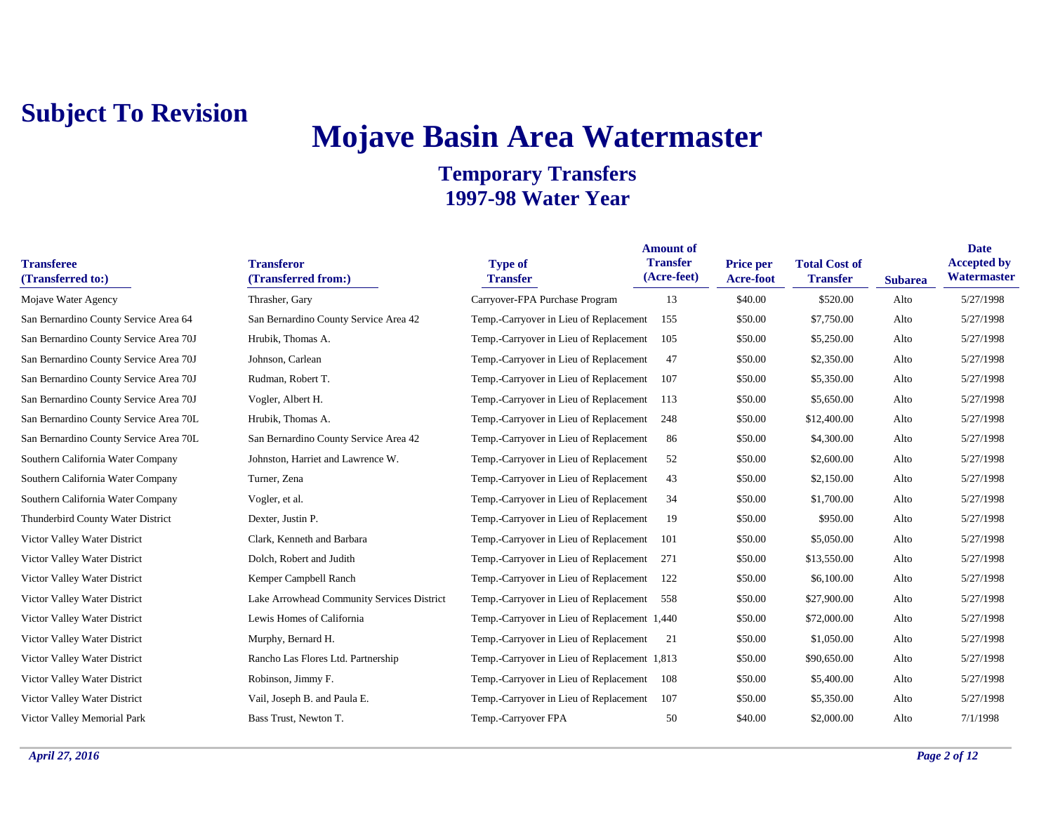## **Mojave Basin Area Watermaster**

| <b>Transferee</b><br>(Transferred to:) | <b>Transferor</b><br>(Transferred from:)   | <b>Type of</b><br><b>Transfer</b>            | <b>Amount of</b><br><b>Transfer</b><br>(Acre-feet) | <b>Price per</b><br><b>Acre-foot</b> | <b>Total Cost of</b><br><b>Transfer</b> | <b>Subarea</b> | <b>Date</b><br><b>Accepted by</b><br>Watermaster |
|----------------------------------------|--------------------------------------------|----------------------------------------------|----------------------------------------------------|--------------------------------------|-----------------------------------------|----------------|--------------------------------------------------|
| Mojave Water Agency                    | Thrasher, Gary                             | Carryover-FPA Purchase Program               | 13                                                 | \$40.00                              | \$520.00                                | Alto           | 5/27/1998                                        |
| San Bernardino County Service Area 64  | San Bernardino County Service Area 42      | Temp.-Carryover in Lieu of Replacement       | 155                                                | \$50.00                              | \$7,750.00                              | Alto           | 5/27/1998                                        |
| San Bernardino County Service Area 70J | Hrubik, Thomas A.                          | Temp.-Carryover in Lieu of Replacement       | 105                                                | \$50.00                              | \$5,250.00                              | Alto           | 5/27/1998                                        |
| San Bernardino County Service Area 70J | Johnson, Carlean                           | Temp.-Carryover in Lieu of Replacement       | 47                                                 | \$50.00                              | \$2,350.00                              | Alto           | 5/27/1998                                        |
| San Bernardino County Service Area 70J | Rudman, Robert T.                          | Temp.-Carryover in Lieu of Replacement       | 107                                                | \$50.00                              | \$5,350.00                              | Alto           | 5/27/1998                                        |
| San Bernardino County Service Area 70J | Vogler, Albert H.                          | Temp.-Carryover in Lieu of Replacement       | 113                                                | \$50.00                              | \$5,650.00                              | Alto           | 5/27/1998                                        |
| San Bernardino County Service Area 70L | Hrubik, Thomas A.                          | Temp.-Carryover in Lieu of Replacement       | 248                                                | \$50.00                              | \$12,400.00                             | Alto           | 5/27/1998                                        |
| San Bernardino County Service Area 70L | San Bernardino County Service Area 42      | Temp.-Carryover in Lieu of Replacement       | 86                                                 | \$50.00                              | \$4,300.00                              | Alto           | 5/27/1998                                        |
| Southern California Water Company      | Johnston, Harriet and Lawrence W.          | Temp.-Carryover in Lieu of Replacement       | 52                                                 | \$50.00                              | \$2,600.00                              | Alto           | 5/27/1998                                        |
| Southern California Water Company      | Turner, Zena                               | Temp.-Carryover in Lieu of Replacement       | 43                                                 | \$50.00                              | \$2,150.00                              | Alto           | 5/27/1998                                        |
| Southern California Water Company      | Vogler, et al.                             | Temp.-Carryover in Lieu of Replacement       | 34                                                 | \$50.00                              | \$1,700.00                              | Alto           | 5/27/1998                                        |
| Thunderbird County Water District      | Dexter, Justin P.                          | Temp.-Carryover in Lieu of Replacement       | 19                                                 | \$50.00                              | \$950.00                                | Alto           | 5/27/1998                                        |
| Victor Valley Water District           | Clark, Kenneth and Barbara                 | Temp.-Carryover in Lieu of Replacement       | 101                                                | \$50.00                              | \$5,050.00                              | Alto           | 5/27/1998                                        |
| Victor Valley Water District           | Dolch, Robert and Judith                   | Temp.-Carryover in Lieu of Replacement       | 271                                                | \$50.00                              | \$13,550.00                             | Alto           | 5/27/1998                                        |
| Victor Valley Water District           | Kemper Campbell Ranch                      | Temp.-Carryover in Lieu of Replacement       | 122                                                | \$50.00                              | \$6,100.00                              | Alto           | 5/27/1998                                        |
| Victor Valley Water District           | Lake Arrowhead Community Services District | Temp.-Carryover in Lieu of Replacement       | 558                                                | \$50.00                              | \$27,900.00                             | Alto           | 5/27/1998                                        |
| Victor Valley Water District           | Lewis Homes of California                  | Temp.-Carryover in Lieu of Replacement 1,440 |                                                    | \$50.00                              | \$72,000.00                             | Alto           | 5/27/1998                                        |
| Victor Valley Water District           | Murphy, Bernard H.                         | Temp.-Carryover in Lieu of Replacement       | 21                                                 | \$50.00                              | \$1,050.00                              | Alto           | 5/27/1998                                        |
| Victor Valley Water District           | Rancho Las Flores Ltd. Partnership         | Temp.-Carryover in Lieu of Replacement 1,813 |                                                    | \$50.00                              | \$90,650.00                             | Alto           | 5/27/1998                                        |
| Victor Valley Water District           | Robinson, Jimmy F.                         | Temp.-Carryover in Lieu of Replacement       | 108                                                | \$50.00                              | \$5,400.00                              | Alto           | 5/27/1998                                        |
| Victor Valley Water District           | Vail, Joseph B. and Paula E.               | Temp.-Carryover in Lieu of Replacement       | 107                                                | \$50.00                              | \$5,350.00                              | Alto           | 5/27/1998                                        |
| Victor Valley Memorial Park            | Bass Trust, Newton T.                      | Temp.-Carryover FPA                          | 50                                                 | \$40.00                              | \$2,000.00                              | Alto           | 7/1/1998                                         |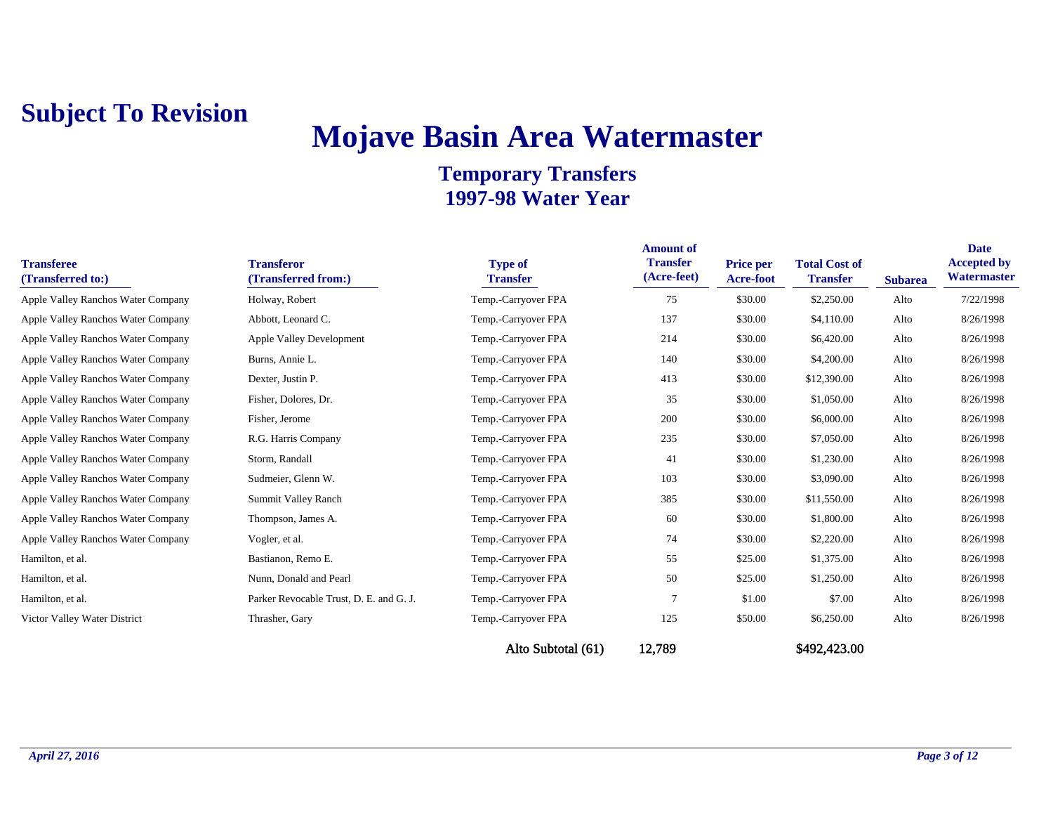# **Mojave Basin Area Watermaster**

| <b>Transferee</b><br>(Transferred to:) | <b>Transferor</b><br>(Transferred from:) | <b>Type of</b><br><b>Transfer</b> | <b>Amount of</b><br><b>Transfer</b><br>(Acre-feet) | <b>Price per</b><br>Acre-foot | <b>Total Cost of</b><br><b>Transfer</b> | <b>Subarea</b> | <b>Date</b><br><b>Accepted by</b><br>Watermaster |
|----------------------------------------|------------------------------------------|-----------------------------------|----------------------------------------------------|-------------------------------|-----------------------------------------|----------------|--------------------------------------------------|
| Apple Valley Ranchos Water Company     | Holway, Robert                           | Temp.-Carryover FPA               | 75                                                 | \$30.00                       | \$2,250.00                              | Alto           | 7/22/1998                                        |
| Apple Valley Ranchos Water Company     | Abbott, Leonard C.                       | Temp.-Carryover FPA               | 137                                                | \$30.00                       | \$4,110.00                              | Alto           | 8/26/1998                                        |
| Apple Valley Ranchos Water Company     | <b>Apple Valley Development</b>          | Temp.-Carryover FPA               | 214                                                | \$30.00                       | \$6,420.00                              | Alto           | 8/26/1998                                        |
| Apple Valley Ranchos Water Company     | Burns, Annie L.                          | Temp.-Carryover FPA               | 140                                                | \$30.00                       | \$4,200.00                              | Alto           | 8/26/1998                                        |
| Apple Valley Ranchos Water Company     | Dexter, Justin P.                        | Temp.-Carryover FPA               | 413                                                | \$30.00                       | \$12,390.00                             | Alto           | 8/26/1998                                        |
| Apple Valley Ranchos Water Company     | Fisher, Dolores, Dr.                     | Temp.-Carryover FPA               | 35                                                 | \$30.00                       | \$1,050.00                              | Alto           | 8/26/1998                                        |
| Apple Valley Ranchos Water Company     | Fisher, Jerome                           | Temp.-Carryover FPA               | 200                                                | \$30.00                       | \$6,000.00                              | Alto           | 8/26/1998                                        |
| Apple Valley Ranchos Water Company     | R.G. Harris Company                      | Temp.-Carryover FPA               | 235                                                | \$30.00                       | \$7,050.00                              | Alto           | 8/26/1998                                        |
| Apple Valley Ranchos Water Company     | Storm, Randall                           | Temp.-Carryover FPA               | 41                                                 | \$30.00                       | \$1,230.00                              | Alto           | 8/26/1998                                        |
| Apple Valley Ranchos Water Company     | Sudmeier, Glenn W.                       | Temp.-Carryover FPA               | 103                                                | \$30.00                       | \$3,090.00                              | Alto           | 8/26/1998                                        |
| Apple Valley Ranchos Water Company     | Summit Valley Ranch                      | Temp.-Carryover FPA               | 385                                                | \$30.00                       | \$11,550.00                             | Alto           | 8/26/1998                                        |
| Apple Valley Ranchos Water Company     | Thompson, James A.                       | Temp.-Carryover FPA               | 60                                                 | \$30.00                       | \$1,800.00                              | Alto           | 8/26/1998                                        |
| Apple Valley Ranchos Water Company     | Vogler, et al.                           | Temp.-Carryover FPA               | 74                                                 | \$30.00                       | \$2,220.00                              | Alto           | 8/26/1998                                        |
| Hamilton, et al.                       | Bastianon, Remo E.                       | Temp.-Carryover FPA               | 55                                                 | \$25.00                       | \$1,375.00                              | Alto           | 8/26/1998                                        |
| Hamilton, et al.                       | Nunn, Donald and Pearl                   | Temp.-Carryover FPA               | 50                                                 | \$25.00                       | \$1,250.00                              | Alto           | 8/26/1998                                        |
| Hamilton, et al.                       | Parker Revocable Trust, D. E. and G. J.  | Temp.-Carryover FPA               | $\overline{7}$                                     | \$1.00                        | \$7.00                                  | Alto           | 8/26/1998                                        |
| Victor Valley Water District           | Thrasher, Gary                           | Temp.-Carryover FPA               | 125                                                | \$50.00                       | \$6,250.00                              | Alto           | 8/26/1998                                        |
|                                        |                                          | Alto Subtotal (61)                | 12,789                                             |                               | \$492,423.00                            |                |                                                  |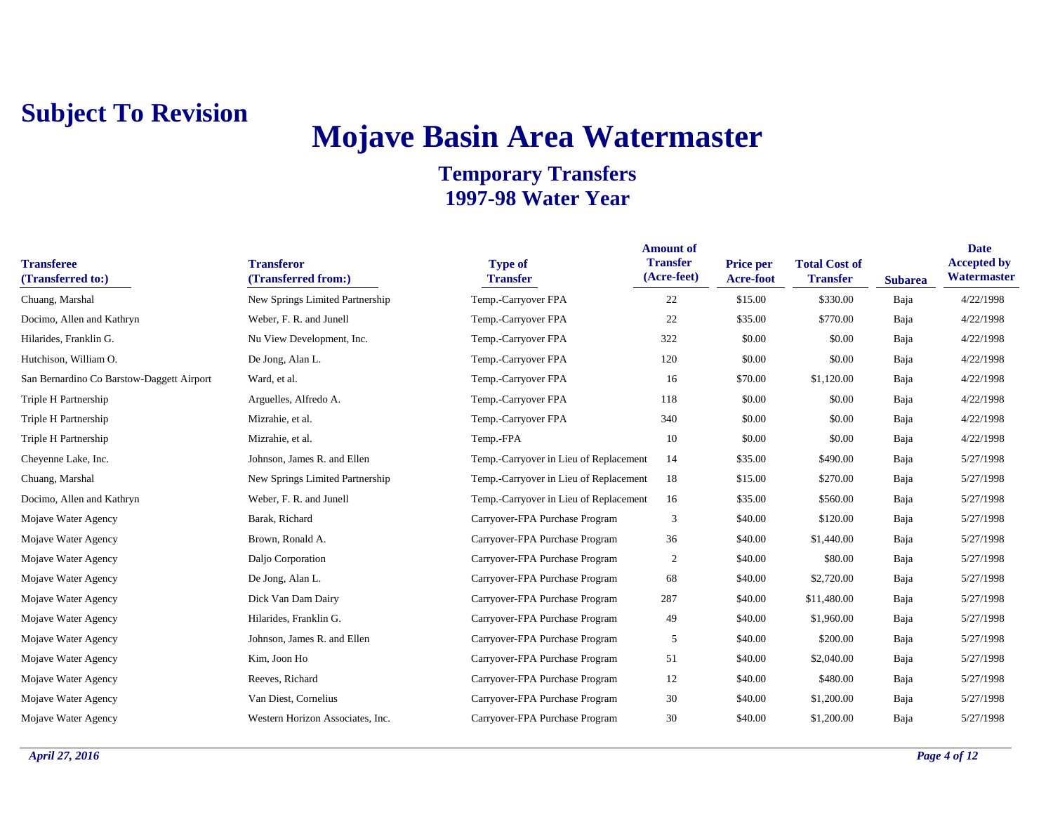## **Mojave Basin Area Watermaster**

| <b>Transferee</b><br>(Transferred to:)    | <b>Transferor</b><br>(Transferred from:) | <b>Type of</b><br><b>Transfer</b>      | <b>Amount of</b><br><b>Transfer</b><br>(Acre-feet) | <b>Price per</b><br><b>Acre-foot</b> | <b>Total Cost of</b><br><b>Transfer</b> | <b>Subarea</b> | <b>Date</b><br><b>Accepted by</b><br>Watermaster |
|-------------------------------------------|------------------------------------------|----------------------------------------|----------------------------------------------------|--------------------------------------|-----------------------------------------|----------------|--------------------------------------------------|
| Chuang, Marshal                           | New Springs Limited Partnership          | Temp.-Carryover FPA                    | 22                                                 | \$15.00                              | \$330.00                                | Baja           | 4/22/1998                                        |
| Docimo, Allen and Kathryn                 | Weber, F. R. and Junell                  | Temp.-Carryover FPA                    | 22                                                 | \$35.00                              | \$770.00                                | Baja           | 4/22/1998                                        |
| Hilarides, Franklin G.                    | Nu View Development, Inc.                | Temp.-Carryover FPA                    | 322                                                | \$0.00                               | \$0.00                                  | Baja           | 4/22/1998                                        |
| Hutchison, William O.                     | De Jong, Alan L.                         | Temp.-Carryover FPA                    | 120                                                | \$0.00                               | \$0.00                                  | Baja           | 4/22/1998                                        |
| San Bernardino Co Barstow-Daggett Airport | Ward, et al.                             | Temp.-Carryover FPA                    | 16                                                 | \$70.00                              | \$1,120.00                              | Baja           | 4/22/1998                                        |
| Triple H Partnership                      | Arguelles, Alfredo A.                    | Temp.-Carryover FPA                    | 118                                                | \$0.00                               | \$0.00                                  | Baja           | 4/22/1998                                        |
| Triple H Partnership                      | Mizrahie, et al.                         | Temp.-Carryover FPA                    | 340                                                | \$0.00                               | \$0.00                                  | Baja           | 4/22/1998                                        |
| Triple H Partnership                      | Mizrahie, et al.                         | Temp.-FPA                              | 10                                                 | \$0.00                               | \$0.00                                  | Baja           | 4/22/1998                                        |
| Cheyenne Lake, Inc.                       | Johnson, James R. and Ellen              | Temp.-Carryover in Lieu of Replacement | 14                                                 | \$35.00                              | \$490.00                                | Baja           | 5/27/1998                                        |
| Chuang, Marshal                           | New Springs Limited Partnership          | Temp.-Carryover in Lieu of Replacement | 18                                                 | \$15.00                              | \$270.00                                | Baja           | 5/27/1998                                        |
| Docimo, Allen and Kathryn                 | Weber, F. R. and Junell                  | Temp.-Carryover in Lieu of Replacement | 16                                                 | \$35.00                              | \$560.00                                | Baja           | 5/27/1998                                        |
| Mojave Water Agency                       | Barak, Richard                           | Carryover-FPA Purchase Program         | 3                                                  | \$40.00                              | \$120.00                                | Baja           | 5/27/1998                                        |
| Mojave Water Agency                       | Brown, Ronald A.                         | Carryover-FPA Purchase Program         | 36                                                 | \$40.00                              | \$1,440.00                              | Baja           | 5/27/1998                                        |
| Mojave Water Agency                       | Daljo Corporation                        | Carryover-FPA Purchase Program         | 2                                                  | \$40.00                              | \$80.00                                 | Baja           | 5/27/1998                                        |
| Mojave Water Agency                       | De Jong, Alan L.                         | Carryover-FPA Purchase Program         | 68                                                 | \$40.00                              | \$2,720.00                              | Baja           | 5/27/1998                                        |
| Mojave Water Agency                       | Dick Van Dam Dairy                       | Carryover-FPA Purchase Program         | 287                                                | \$40.00                              | \$11,480.00                             | Baja           | 5/27/1998                                        |
| Mojave Water Agency                       | Hilarides, Franklin G.                   | Carryover-FPA Purchase Program         | 49                                                 | \$40.00                              | \$1,960.00                              | Baja           | 5/27/1998                                        |
| Mojave Water Agency                       | Johnson, James R. and Ellen              | Carryover-FPA Purchase Program         | 5                                                  | \$40.00                              | \$200.00                                | Baja           | 5/27/1998                                        |
| Mojave Water Agency                       | Kim, Joon Ho                             | Carryover-FPA Purchase Program         | 51                                                 | \$40.00                              | \$2,040.00                              | Baja           | 5/27/1998                                        |
| Mojave Water Agency                       | Reeves, Richard                          | Carryover-FPA Purchase Program         | 12                                                 | \$40.00                              | \$480.00                                | Baja           | 5/27/1998                                        |
| Mojave Water Agency                       | Van Diest, Cornelius                     | Carryover-FPA Purchase Program         | 30                                                 | \$40.00                              | \$1,200.00                              | Baja           | 5/27/1998                                        |
| Mojave Water Agency                       | Western Horizon Associates, Inc.         | Carryover-FPA Purchase Program         | 30                                                 | \$40.00                              | \$1,200.00                              | Baja           | 5/27/1998                                        |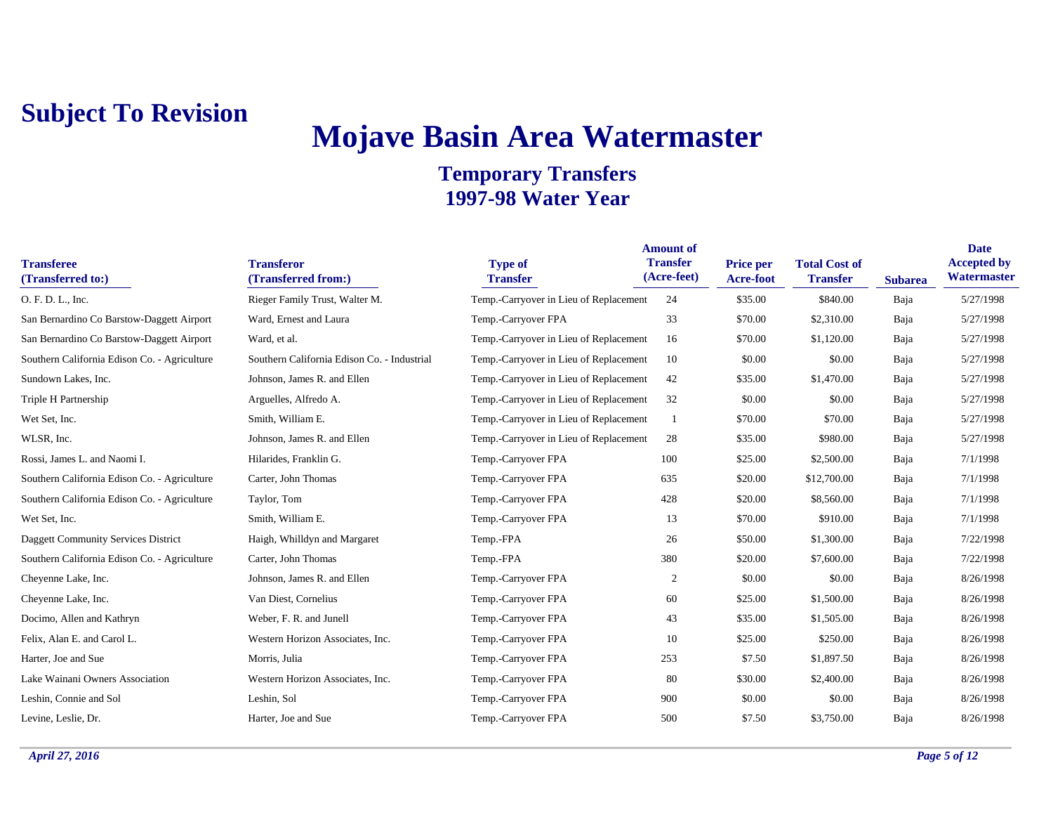## **Mojave Basin Area Watermaster**

| <b>Transferee</b><br>(Transferred to:)       | <b>Transferor</b><br>(Transferred from:)    | <b>Type of</b><br><b>Transfer</b>      | <b>Amount of</b><br><b>Transfer</b><br>(Acre-feet) | <b>Price per</b><br>Acre-foot | <b>Total Cost of</b><br><b>Transfer</b> | <b>Subarea</b> | <b>Date</b><br><b>Accepted by</b><br>Watermaster |
|----------------------------------------------|---------------------------------------------|----------------------------------------|----------------------------------------------------|-------------------------------|-----------------------------------------|----------------|--------------------------------------------------|
| O. F. D. L., Inc.                            | Rieger Family Trust, Walter M.              | Temp.-Carryover in Lieu of Replacement | 24                                                 | \$35.00                       | \$840.00                                | Baja           | 5/27/1998                                        |
| San Bernardino Co Barstow-Daggett Airport    | Ward, Ernest and Laura                      | Temp.-Carryover FPA                    | 33                                                 | \$70.00                       | \$2,310.00                              | Baja           | 5/27/1998                                        |
| San Bernardino Co Barstow-Daggett Airport    | Ward, et al.                                | Temp.-Carryover in Lieu of Replacement | 16                                                 | \$70.00                       | \$1,120.00                              | Baja           | 5/27/1998                                        |
| Southern California Edison Co. - Agriculture | Southern California Edison Co. - Industrial | Temp.-Carryover in Lieu of Replacement | 10                                                 | \$0.00                        | \$0.00                                  | Baja           | 5/27/1998                                        |
| Sundown Lakes, Inc.                          | Johnson, James R. and Ellen                 | Temp.-Carryover in Lieu of Replacement | 42                                                 | \$35.00                       | \$1,470.00                              | Baja           | 5/27/1998                                        |
| Triple H Partnership                         | Arguelles, Alfredo A.                       | Temp.-Carryover in Lieu of Replacement | 32                                                 | \$0.00                        | \$0.00                                  | Baja           | 5/27/1998                                        |
| Wet Set, Inc.                                | Smith, William E.                           | Temp.-Carryover in Lieu of Replacement |                                                    | \$70.00                       | \$70.00                                 | Baja           | 5/27/1998                                        |
| WLSR, Inc.                                   | Johnson, James R. and Ellen                 | Temp.-Carryover in Lieu of Replacement | 28                                                 | \$35.00                       | \$980.00                                | Baja           | 5/27/1998                                        |
| Rossi, James L. and Naomi I.                 | Hilarides, Franklin G.                      | Temp.-Carryover FPA                    | 100                                                | \$25.00                       | \$2,500.00                              | Baja           | 7/1/1998                                         |
| Southern California Edison Co. - Agriculture | Carter, John Thomas                         | Temp.-Carryover FPA                    | 635                                                | \$20.00                       | \$12,700.00                             | Baja           | 7/1/1998                                         |
| Southern California Edison Co. - Agriculture | Taylor, Tom                                 | Temp.-Carryover FPA                    | 428                                                | \$20.00                       | \$8,560.00                              | Baja           | 7/1/1998                                         |
| Wet Set, Inc.                                | Smith, William E.                           | Temp.-Carryover FPA                    | 13                                                 | \$70.00                       | \$910.00                                | Baja           | 7/1/1998                                         |
| <b>Daggett Community Services District</b>   | Haigh, Whilldyn and Margaret                | Temp.-FPA                              | 26                                                 | \$50.00                       | \$1,300.00                              | Baja           | 7/22/1998                                        |
| Southern California Edison Co. - Agriculture | Carter, John Thomas                         | Temp.-FPA                              | 380                                                | \$20.00                       | \$7,600.00                              | Baja           | 7/22/1998                                        |
| Cheyenne Lake, Inc.                          | Johnson, James R. and Ellen                 | Temp.-Carryover FPA                    | $\boldsymbol{2}$                                   | \$0.00                        | \$0.00                                  | Baja           | 8/26/1998                                        |
| Cheyenne Lake, Inc.                          | Van Diest, Cornelius                        | Temp.-Carryover FPA                    | 60                                                 | \$25.00                       | \$1,500.00                              | Baja           | 8/26/1998                                        |
| Docimo, Allen and Kathryn                    | Weber, F. R. and Junell                     | Temp.-Carryover FPA                    | 43                                                 | \$35.00                       | \$1,505.00                              | Baja           | 8/26/1998                                        |
| Felix, Alan E. and Carol L.                  | Western Horizon Associates, Inc.            | Temp.-Carryover FPA                    | 10                                                 | \$25.00                       | \$250.00                                | Baja           | 8/26/1998                                        |
| Harter, Joe and Sue                          | Morris, Julia                               | Temp.-Carryover FPA                    | 253                                                | \$7.50                        | \$1,897.50                              | Baja           | 8/26/1998                                        |
| Lake Wainani Owners Association              | Western Horizon Associates, Inc.            | Temp.-Carryover FPA                    | 80                                                 | \$30.00                       | \$2,400.00                              | Baja           | 8/26/1998                                        |
| Leshin, Connie and Sol                       | Leshin, Sol                                 | Temp.-Carryover FPA                    | 900                                                | \$0.00                        | \$0.00                                  | Baja           | 8/26/1998                                        |
| Levine, Leslie, Dr.                          | Harter, Joe and Sue                         | Temp.-Carryover FPA                    | 500                                                | \$7.50                        | \$3,750.00                              | Baja           | 8/26/1998                                        |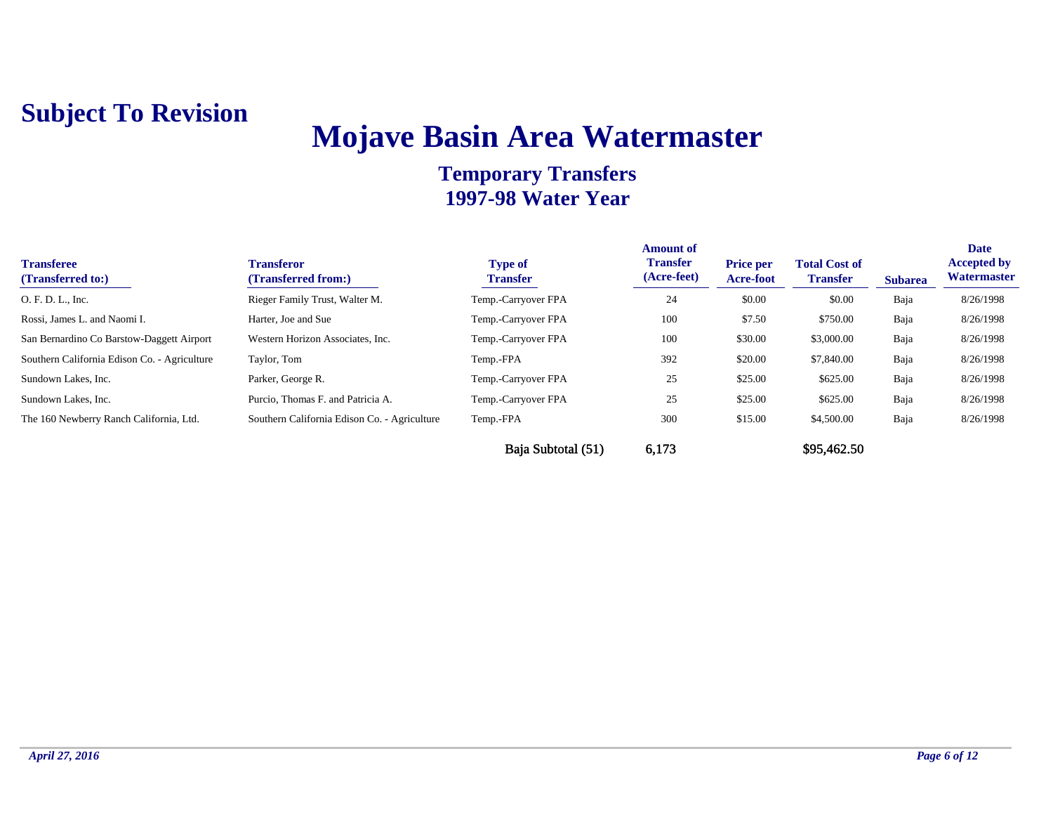## **Mojave Basin Area Watermaster**

| <b>Transferee</b><br>(Transferred to:)       | Transferor<br>(Transferred from:)            | <b>Type of</b><br><b>Transfer</b> | <b>Amount of</b><br><b>Transfer</b><br>(Acre-feet) | <b>Price per</b><br><b>Acre-foot</b> | <b>Total Cost of</b><br><b>Transfer</b> | <b>Subarea</b> | <b>Date</b><br><b>Accepted by</b><br>Watermaster |
|----------------------------------------------|----------------------------------------------|-----------------------------------|----------------------------------------------------|--------------------------------------|-----------------------------------------|----------------|--------------------------------------------------|
| O. F. D. L., Inc.                            | Rieger Family Trust, Walter M.               | Temp.-Carryover FPA               | 24                                                 | \$0.00                               | \$0.00                                  | Baja           | 8/26/1998                                        |
| Rossi, James L. and Naomi I.                 | Harter, Joe and Sue                          | Temp.-Carryover FPA               | 100                                                | \$7.50                               | \$750.00                                | Baja           | 8/26/1998                                        |
| San Bernardino Co Barstow-Daggett Airport    | Western Horizon Associates, Inc.             | Temp.-Carryover FPA               | 100                                                | \$30.00                              | \$3,000.00                              | Baja           | 8/26/1998                                        |
| Southern California Edison Co. - Agriculture | Taylor, Tom                                  | Temp.-FPA                         | 392                                                | \$20.00                              | \$7,840.00                              | Baja           | 8/26/1998                                        |
| Sundown Lakes, Inc.                          | Parker, George R.                            | Temp.-Carryover FPA               | 25                                                 | \$25.00                              | \$625.00                                | Baja           | 8/26/1998                                        |
| Sundown Lakes, Inc.                          | Purcio, Thomas F. and Patricia A.            | Temp.-Carryover FPA               | 25                                                 | \$25.00                              | \$625.00                                | Baja           | 8/26/1998                                        |
| The 160 Newberry Ranch California, Ltd.      | Southern California Edison Co. - Agriculture | Temp.-FPA                         | 300                                                | \$15.00                              | \$4,500.00                              | Baja           | 8/26/1998                                        |
|                                              |                                              | Baja Subtotal (51)                | 6,173                                              |                                      | \$95,462.50                             |                |                                                  |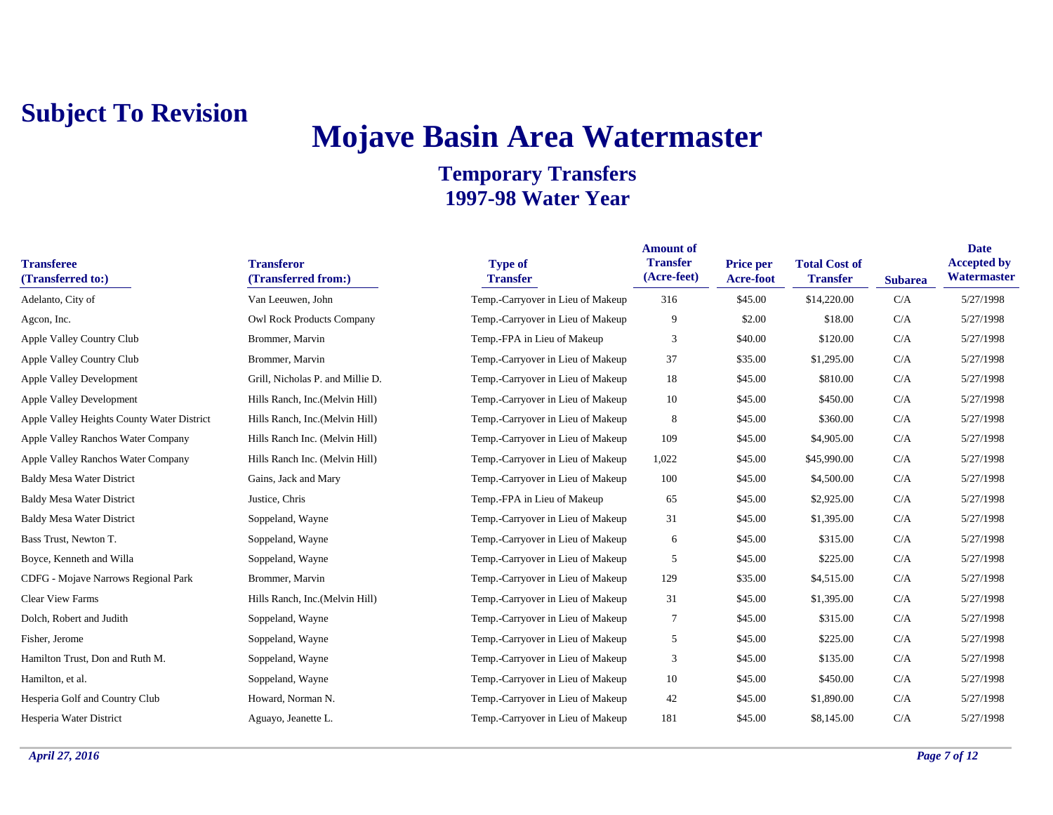## **Mojave Basin Area Watermaster**

| <b>Transferee</b><br>(Transferred to:)     | <b>Transferor</b><br>(Transferred from:) | <b>Type of</b><br><b>Transfer</b> | <b>Amount of</b><br><b>Transfer</b><br>(Acre-feet) | <b>Price per</b><br><b>Acre-foot</b> | <b>Total Cost of</b><br><b>Transfer</b> | <b>Subarea</b> | <b>Date</b><br><b>Accepted by</b><br>Watermaster |
|--------------------------------------------|------------------------------------------|-----------------------------------|----------------------------------------------------|--------------------------------------|-----------------------------------------|----------------|--------------------------------------------------|
| Adelanto, City of                          | Van Leeuwen, John                        | Temp.-Carryover in Lieu of Makeup | 316                                                | \$45.00                              | \$14,220.00                             | C/A            | 5/27/1998                                        |
| Agcon, Inc.                                | Owl Rock Products Company                | Temp.-Carryover in Lieu of Makeup | 9                                                  | \$2.00                               | \$18.00                                 | C/A            | 5/27/1998                                        |
| Apple Valley Country Club                  | Brommer, Marvin                          | Temp.-FPA in Lieu of Makeup       | 3                                                  | \$40.00                              | \$120.00                                | C/A            | 5/27/1998                                        |
| Apple Valley Country Club                  | Brommer, Marvin                          | Temp.-Carryover in Lieu of Makeup | 37                                                 | \$35.00                              | \$1,295.00                              | C/A            | 5/27/1998                                        |
| <b>Apple Valley Development</b>            | Grill, Nicholas P. and Millie D.         | Temp.-Carryover in Lieu of Makeup | 18                                                 | \$45.00                              | \$810.00                                | C/A            | 5/27/1998                                        |
| <b>Apple Valley Development</b>            | Hills Ranch, Inc. (Melvin Hill)          | Temp.-Carryover in Lieu of Makeup | 10                                                 | \$45.00                              | \$450.00                                | C/A            | 5/27/1998                                        |
| Apple Valley Heights County Water District | Hills Ranch, Inc. (Melvin Hill)          | Temp.-Carryover in Lieu of Makeup | 8                                                  | \$45.00                              | \$360.00                                | C/A            | 5/27/1998                                        |
| Apple Valley Ranchos Water Company         | Hills Ranch Inc. (Melvin Hill)           | Temp.-Carryover in Lieu of Makeup | 109                                                | \$45.00                              | \$4,905.00                              | C/A            | 5/27/1998                                        |
| Apple Valley Ranchos Water Company         | Hills Ranch Inc. (Melvin Hill)           | Temp.-Carryover in Lieu of Makeup | 1,022                                              | \$45.00                              | \$45,990.00                             | C/A            | 5/27/1998                                        |
| <b>Baldy Mesa Water District</b>           | Gains, Jack and Mary                     | Temp.-Carryover in Lieu of Makeup | 100                                                | \$45.00                              | \$4,500.00                              | C/A            | 5/27/1998                                        |
| <b>Baldy Mesa Water District</b>           | Justice, Chris                           | Temp.-FPA in Lieu of Makeup       | 65                                                 | \$45.00                              | \$2,925.00                              | C/A            | 5/27/1998                                        |
| <b>Baldy Mesa Water District</b>           | Soppeland, Wayne                         | Temp.-Carryover in Lieu of Makeup | 31                                                 | \$45.00                              | \$1,395.00                              | C/A            | 5/27/1998                                        |
| Bass Trust, Newton T.                      | Soppeland, Wayne                         | Temp.-Carryover in Lieu of Makeup | 6                                                  | \$45.00                              | \$315.00                                | C/A            | 5/27/1998                                        |
| Boyce, Kenneth and Willa                   | Soppeland, Wayne                         | Temp.-Carryover in Lieu of Makeup | 5                                                  | \$45.00                              | \$225.00                                | C/A            | 5/27/1998                                        |
| CDFG - Mojave Narrows Regional Park        | Brommer, Marvin                          | Temp.-Carryover in Lieu of Makeup | 129                                                | \$35.00                              | \$4,515.00                              | C/A            | 5/27/1998                                        |
| <b>Clear View Farms</b>                    | Hills Ranch, Inc. (Melvin Hill)          | Temp.-Carryover in Lieu of Makeup | 31                                                 | \$45.00                              | \$1,395.00                              | C/A            | 5/27/1998                                        |
| Dolch, Robert and Judith                   | Soppeland, Wayne                         | Temp.-Carryover in Lieu of Makeup | $\tau$                                             | \$45.00                              | \$315.00                                | C/A            | 5/27/1998                                        |
| Fisher, Jerome                             | Soppeland, Wayne                         | Temp.-Carryover in Lieu of Makeup | 5                                                  | \$45.00                              | \$225.00                                | C/A            | 5/27/1998                                        |
| Hamilton Trust, Don and Ruth M.            | Soppeland, Wayne                         | Temp.-Carryover in Lieu of Makeup | 3                                                  | \$45.00                              | \$135.00                                | C/A            | 5/27/1998                                        |
| Hamilton, et al.                           | Soppeland, Wayne                         | Temp.-Carryover in Lieu of Makeup | 10                                                 | \$45.00                              | \$450.00                                | C/A            | 5/27/1998                                        |
| Hesperia Golf and Country Club             | Howard, Norman N.                        | Temp.-Carryover in Lieu of Makeup | 42                                                 | \$45.00                              | \$1,890.00                              | C/A            | 5/27/1998                                        |
| Hesperia Water District                    | Aguayo, Jeanette L.                      | Temp.-Carryover in Lieu of Makeup | 181                                                | \$45.00                              | \$8,145.00                              | C/A            | 5/27/1998                                        |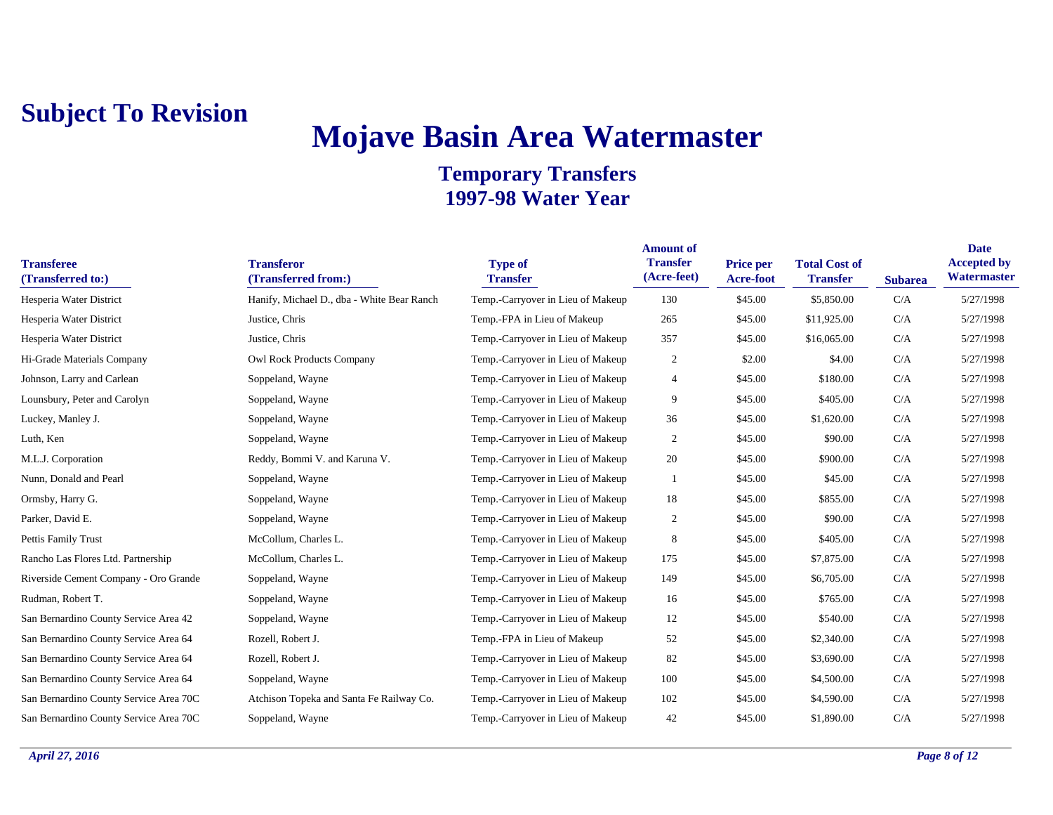# **Mojave Basin Area Watermaster**

| <b>Transferee</b><br>(Transferred to:) | <b>Transferor</b><br>(Transferred from:)   | <b>Type of</b><br><b>Transfer</b> | <b>Amount of</b><br><b>Transfer</b><br>(Acre-feet) | <b>Price per</b><br><b>Acre-foot</b> | <b>Total Cost of</b><br><b>Transfer</b> | <b>Subarea</b> | <b>Date</b><br><b>Accepted by</b><br>Watermaster |
|----------------------------------------|--------------------------------------------|-----------------------------------|----------------------------------------------------|--------------------------------------|-----------------------------------------|----------------|--------------------------------------------------|
| Hesperia Water District                | Hanify, Michael D., dba - White Bear Ranch | Temp.-Carryover in Lieu of Makeup | 130                                                | \$45.00                              | \$5,850.00                              | C/A            | 5/27/1998                                        |
| Hesperia Water District                | Justice, Chris                             | Temp.-FPA in Lieu of Makeup       | 265                                                | \$45.00                              | \$11,925.00                             | C/A            | 5/27/1998                                        |
| Hesperia Water District                | Justice, Chris                             | Temp.-Carryover in Lieu of Makeup | 357                                                | \$45.00                              | \$16,065.00                             | C/A            | 5/27/1998                                        |
| Hi-Grade Materials Company             | Owl Rock Products Company                  | Temp.-Carryover in Lieu of Makeup | $\overline{c}$                                     | \$2.00                               | \$4.00                                  | C/A            | 5/27/1998                                        |
| Johnson, Larry and Carlean             | Soppeland, Wayne                           | Temp.-Carryover in Lieu of Makeup | 4                                                  | \$45.00                              | \$180.00                                | C/A            | 5/27/1998                                        |
| Lounsbury, Peter and Carolyn           | Soppeland, Wayne                           | Temp.-Carryover in Lieu of Makeup | 9                                                  | \$45.00                              | \$405.00                                | C/A            | 5/27/1998                                        |
| Luckey, Manley J.                      | Soppeland, Wayne                           | Temp.-Carryover in Lieu of Makeup | 36                                                 | \$45.00                              | \$1,620.00                              | C/A            | 5/27/1998                                        |
| Luth, Ken                              | Soppeland, Wayne                           | Temp.-Carryover in Lieu of Makeup | $\overline{c}$                                     | \$45.00                              | \$90.00                                 | C/A            | 5/27/1998                                        |
| M.L.J. Corporation                     | Reddy, Bommi V. and Karuna V.              | Temp.-Carryover in Lieu of Makeup | 20                                                 | \$45.00                              | \$900.00                                | C/A            | 5/27/1998                                        |
| Nunn, Donald and Pearl                 | Soppeland, Wayne                           | Temp.-Carryover in Lieu of Makeup | 1                                                  | \$45.00                              | \$45.00                                 | C/A            | 5/27/1998                                        |
| Ormsby, Harry G.                       | Soppeland, Wayne                           | Temp.-Carryover in Lieu of Makeup | 18                                                 | \$45.00                              | \$855.00                                | C/A            | 5/27/1998                                        |
| Parker, David E.                       | Soppeland, Wayne                           | Temp.-Carryover in Lieu of Makeup | $\overline{c}$                                     | \$45.00                              | \$90.00                                 | C/A            | 5/27/1998                                        |
| Pettis Family Trust                    | McCollum, Charles L.                       | Temp.-Carryover in Lieu of Makeup | 8                                                  | \$45.00                              | \$405.00                                | C/A            | 5/27/1998                                        |
| Rancho Las Flores Ltd. Partnership     | McCollum, Charles L.                       | Temp.-Carryover in Lieu of Makeup | 175                                                | \$45.00                              | \$7,875.00                              | C/A            | 5/27/1998                                        |
| Riverside Cement Company - Oro Grande  | Soppeland, Wayne                           | Temp.-Carryover in Lieu of Makeup | 149                                                | \$45.00                              | \$6,705.00                              | C/A            | 5/27/1998                                        |
| Rudman, Robert T.                      | Soppeland, Wayne                           | Temp.-Carryover in Lieu of Makeup | 16                                                 | \$45.00                              | \$765.00                                | C/A            | 5/27/1998                                        |
| San Bernardino County Service Area 42  | Soppeland, Wayne                           | Temp.-Carryover in Lieu of Makeup | 12                                                 | \$45.00                              | \$540.00                                | C/A            | 5/27/1998                                        |
| San Bernardino County Service Area 64  | Rozell, Robert J.                          | Temp.-FPA in Lieu of Makeup       | 52                                                 | \$45.00                              | \$2,340.00                              | C/A            | 5/27/1998                                        |
| San Bernardino County Service Area 64  | Rozell, Robert J.                          | Temp.-Carryover in Lieu of Makeup | 82                                                 | \$45.00                              | \$3,690.00                              | C/A            | 5/27/1998                                        |
| San Bernardino County Service Area 64  | Soppeland, Wayne                           | Temp.-Carryover in Lieu of Makeup | 100                                                | \$45.00                              | \$4,500.00                              | C/A            | 5/27/1998                                        |
| San Bernardino County Service Area 70C | Atchison Topeka and Santa Fe Railway Co.   | Temp.-Carryover in Lieu of Makeup | 102                                                | \$45.00                              | \$4,590.00                              | C/A            | 5/27/1998                                        |
| San Bernardino County Service Area 70C | Soppeland, Wayne                           | Temp.-Carryover in Lieu of Makeup | 42                                                 | \$45.00                              | \$1,890.00                              | C/A            | 5/27/1998                                        |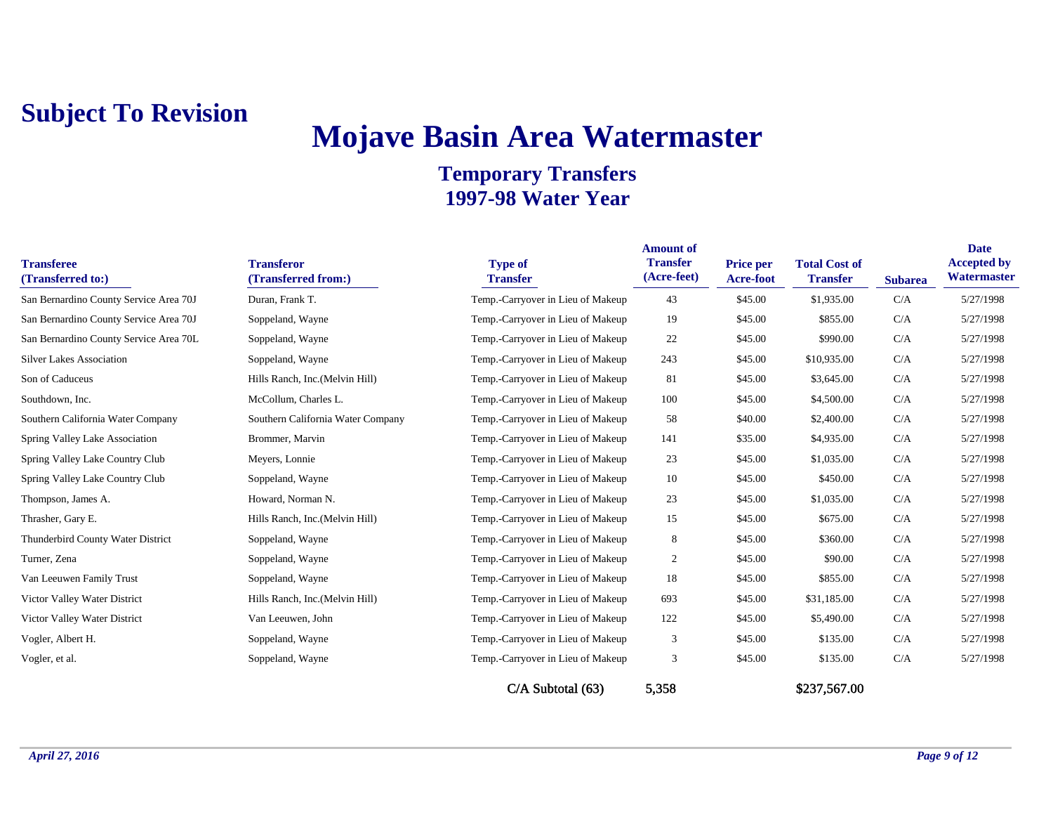# **Mojave Basin Area Watermaster**

| <b>Transferee</b><br>(Transferred to:) | <b>Transferor</b><br>(Transferred from:) | <b>Type of</b><br><b>Transfer</b> | <b>Amount of</b><br><b>Transfer</b><br>(Acre-feet) | <b>Price per</b><br>Acre-foot | <b>Total Cost of</b><br><b>Transfer</b> | <b>Subarea</b> | <b>Date</b><br><b>Accepted by</b><br>Watermaster |
|----------------------------------------|------------------------------------------|-----------------------------------|----------------------------------------------------|-------------------------------|-----------------------------------------|----------------|--------------------------------------------------|
| San Bernardino County Service Area 70J | Duran, Frank T.                          | Temp.-Carryover in Lieu of Makeup | 43                                                 | \$45.00                       | \$1,935.00                              | C/A            | 5/27/1998                                        |
| San Bernardino County Service Area 70J | Soppeland, Wayne                         | Temp.-Carryover in Lieu of Makeup | 19                                                 | \$45.00                       | \$855.00                                | C/A            | 5/27/1998                                        |
| San Bernardino County Service Area 70L | Soppeland, Wayne                         | Temp.-Carryover in Lieu of Makeup | 22                                                 | \$45.00                       | \$990.00                                | C/A            | 5/27/1998                                        |
| <b>Silver Lakes Association</b>        | Soppeland, Wayne                         | Temp.-Carryover in Lieu of Makeup | 243                                                | \$45.00                       | \$10,935.00                             | C/A            | 5/27/1998                                        |
| Son of Caduceus                        | Hills Ranch, Inc. (Melvin Hill)          | Temp.-Carryover in Lieu of Makeup | 81                                                 | \$45.00                       | \$3,645.00                              | C/A            | 5/27/1998                                        |
| Southdown, Inc.                        | McCollum, Charles L.                     | Temp.-Carryover in Lieu of Makeup | 100                                                | \$45.00                       | \$4,500.00                              | C/A            | 5/27/1998                                        |
| Southern California Water Company      | Southern California Water Company        | Temp.-Carryover in Lieu of Makeup | 58                                                 | \$40.00                       | \$2,400.00                              | C/A            | 5/27/1998                                        |
| Spring Valley Lake Association         | Brommer, Marvin                          | Temp.-Carryover in Lieu of Makeup | 141                                                | \$35.00                       | \$4,935.00                              | C/A            | 5/27/1998                                        |
| Spring Valley Lake Country Club        | Meyers, Lonnie                           | Temp.-Carryover in Lieu of Makeup | 23                                                 | \$45.00                       | \$1,035.00                              | C/A            | 5/27/1998                                        |
| Spring Valley Lake Country Club        | Soppeland, Wayne                         | Temp.-Carryover in Lieu of Makeup | 10                                                 | \$45.00                       | \$450.00                                | C/A            | 5/27/1998                                        |
| Thompson, James A.                     | Howard, Norman N.                        | Temp.-Carryover in Lieu of Makeup | 23                                                 | \$45.00                       | \$1,035.00                              | C/A            | 5/27/1998                                        |
| Thrasher, Gary E.                      | Hills Ranch, Inc.(Melvin Hill)           | Temp.-Carryover in Lieu of Makeup | 15                                                 | \$45.00                       | \$675.00                                | C/A            | 5/27/1998                                        |
| Thunderbird County Water District      | Soppeland, Wayne                         | Temp.-Carryover in Lieu of Makeup | $8\phantom{1}$                                     | \$45.00                       | \$360.00                                | C/A            | 5/27/1998                                        |
| Turner, Zena                           | Soppeland, Wayne                         | Temp.-Carryover in Lieu of Makeup | $\overline{2}$                                     | \$45.00                       | \$90.00                                 | C/A            | 5/27/1998                                        |
| Van Leeuwen Family Trust               | Soppeland, Wayne                         | Temp.-Carryover in Lieu of Makeup | 18                                                 | \$45.00                       | \$855.00                                | C/A            | 5/27/1998                                        |
| Victor Valley Water District           | Hills Ranch, Inc. (Melvin Hill)          | Temp.-Carryover in Lieu of Makeup | 693                                                | \$45.00                       | \$31,185.00                             | C/A            | 5/27/1998                                        |
| Victor Valley Water District           | Van Leeuwen, John                        | Temp.-Carryover in Lieu of Makeup | 122                                                | \$45.00                       | \$5,490.00                              | C/A            | 5/27/1998                                        |
| Vogler, Albert H.                      | Soppeland, Wayne                         | Temp.-Carryover in Lieu of Makeup | 3                                                  | \$45.00                       | \$135.00                                | C/A            | 5/27/1998                                        |
| Vogler, et al.                         | Soppeland, Wayne                         | Temp.-Carryover in Lieu of Makeup | 3                                                  | \$45.00                       | \$135.00                                | C/A            | 5/27/1998                                        |
|                                        |                                          | C/A Subtotal (63)                 | 5,358                                              |                               | \$237,567.00                            |                |                                                  |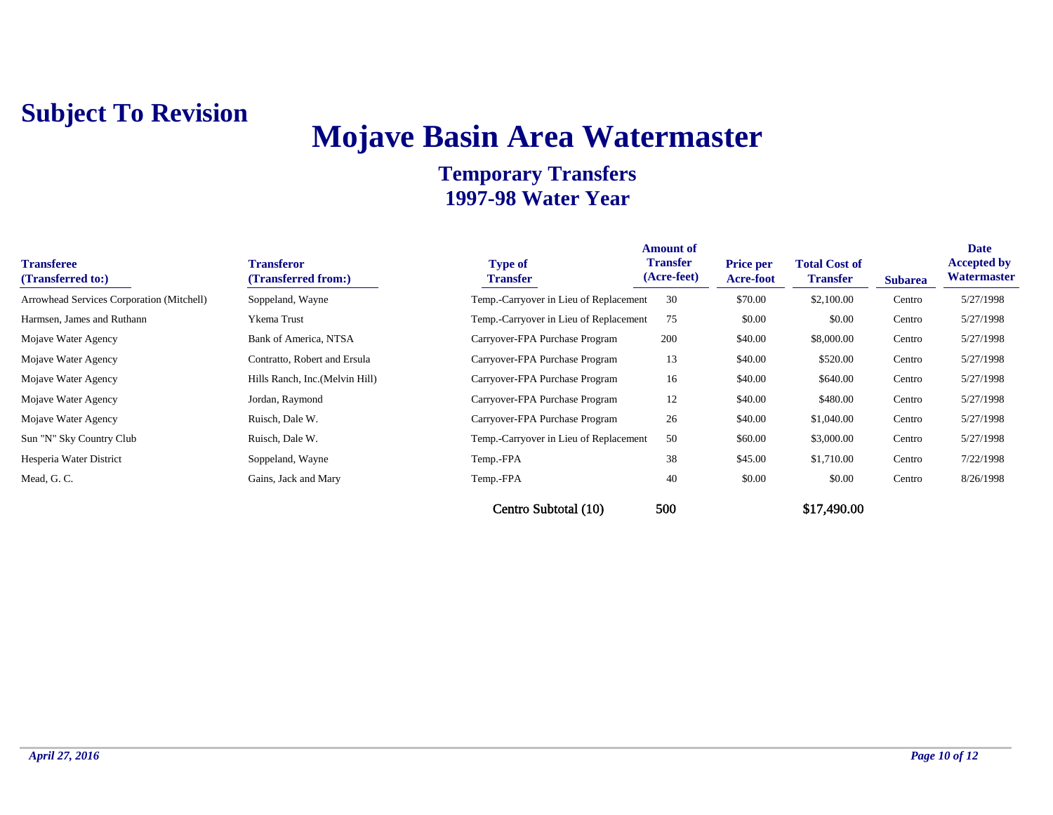## **Mojave Basin Area Watermaster**

| <b>Transferee</b><br>(Transferred to:)    | <b>Transferor</b><br>(Transferred from:) | <b>Type of</b><br><b>Transfer</b>      | <b>Amount of</b><br><b>Transfer</b><br>(Acre-feet) | <b>Price per</b><br>Acre-foot | <b>Total Cost of</b><br><b>Transfer</b> | <b>Subarea</b> | <b>Date</b><br><b>Accepted by</b><br>Watermaster |
|-------------------------------------------|------------------------------------------|----------------------------------------|----------------------------------------------------|-------------------------------|-----------------------------------------|----------------|--------------------------------------------------|
| Arrowhead Services Corporation (Mitchell) | Soppeland, Wayne                         | Temp.-Carryover in Lieu of Replacement | 30                                                 | \$70.00                       | \$2,100.00                              | Centro         | 5/27/1998                                        |
| Harmsen, James and Ruthann                | Ykema Trust                              | Temp.-Carryover in Lieu of Replacement | 75                                                 | \$0.00                        | \$0.00                                  | Centro         | 5/27/1998                                        |
| Mojave Water Agency                       | Bank of America, NTSA                    | Carryover-FPA Purchase Program         | 200                                                | \$40.00                       | \$8,000.00                              | Centro         | 5/27/1998                                        |
| Mojave Water Agency                       | Contratto, Robert and Ersula             | Carryover-FPA Purchase Program         | 13                                                 | \$40.00                       | \$520.00                                | Centro         | 5/27/1998                                        |
| Mojave Water Agency                       | Hills Ranch, Inc. (Melvin Hill)          | Carryover-FPA Purchase Program         | 16                                                 | \$40.00                       | \$640.00                                | Centro         | 5/27/1998                                        |
| Mojave Water Agency                       | Jordan, Raymond                          | Carryover-FPA Purchase Program         | 12                                                 | \$40.00                       | \$480.00                                | Centro         | 5/27/1998                                        |
| Mojave Water Agency                       | Ruisch, Dale W.                          | Carryover-FPA Purchase Program         | 26                                                 | \$40.00                       | \$1,040.00                              | Centro         | 5/27/1998                                        |
| Sun "N" Sky Country Club                  | Ruisch, Dale W.                          | Temp.-Carryover in Lieu of Replacement | 50                                                 | \$60.00                       | \$3,000.00                              | Centro         | 5/27/1998                                        |
| Hesperia Water District                   | Soppeland, Wayne                         | Temp.-FPA                              | 38                                                 | \$45.00                       | \$1,710.00                              | Centro         | 7/22/1998                                        |
| Mead, G. C.                               | Gains, Jack and Mary                     | Temp.-FPA                              | 40                                                 | \$0.00                        | \$0.00                                  | Centro         | 8/26/1998                                        |
|                                           |                                          | Centro Subtotal (10)                   | 500                                                |                               | \$17,490.00                             |                |                                                  |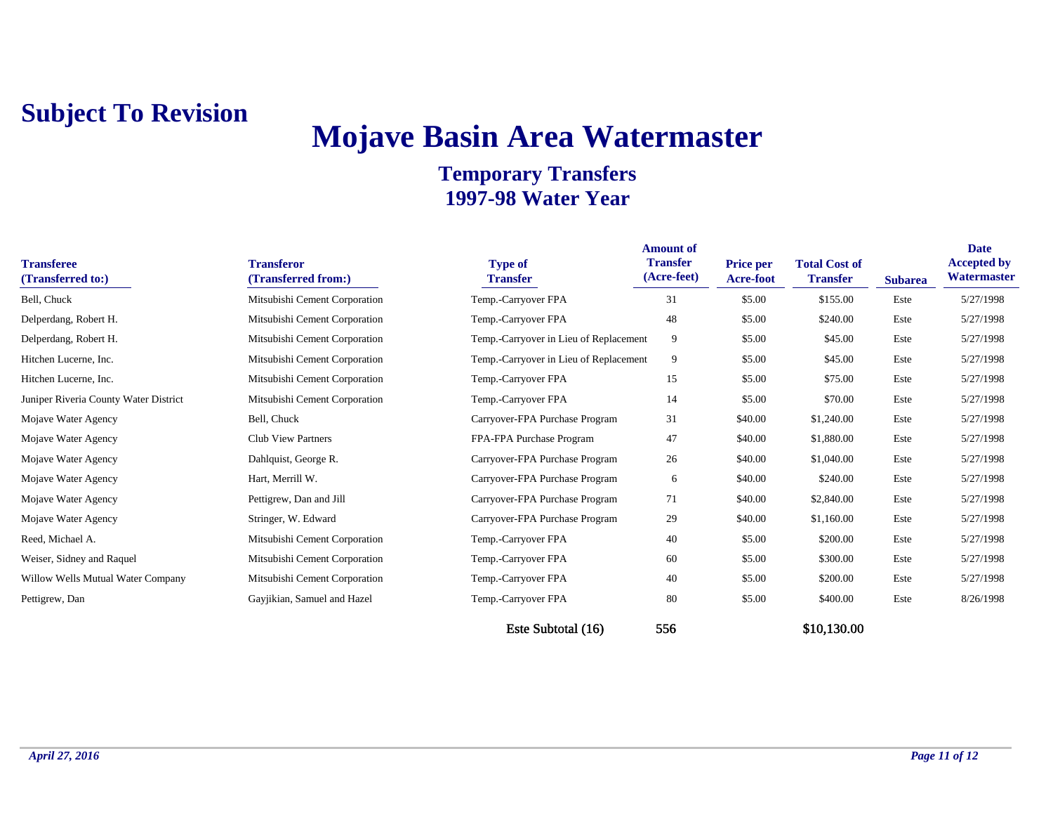# **Mojave Basin Area Watermaster**

### **Temporary Transfers 1997-98 Water Year**

| <b>Transferee</b><br>(Transferred to:) | <b>Transferor</b><br>(Transferred from:) | <b>Type of</b><br><b>Transfer</b>      | <b>Amount of</b><br><b>Transfer</b><br>(Acre-feet) | <b>Price per</b><br><b>Acre-foot</b> | <b>Total Cost of</b><br><b>Transfer</b> | <b>Subarea</b> | Date<br><b>Accepted by</b><br>Watermaster |
|----------------------------------------|------------------------------------------|----------------------------------------|----------------------------------------------------|--------------------------------------|-----------------------------------------|----------------|-------------------------------------------|
| Bell, Chuck                            | Mitsubishi Cement Corporation            | Temp.-Carryover FPA                    | 31                                                 | \$5.00                               | \$155.00                                | Este           | 5/27/1998                                 |
| Delperdang, Robert H.                  | Mitsubishi Cement Corporation            | Temp.-Carryover FPA                    | 48                                                 | \$5.00                               | \$240.00                                | Este           | 5/27/1998                                 |
| Delperdang, Robert H.                  | Mitsubishi Cement Corporation            | Temp.-Carryover in Lieu of Replacement | 9                                                  | \$5.00                               | \$45.00                                 | Este           | 5/27/1998                                 |
| Hitchen Lucerne, Inc.                  | Mitsubishi Cement Corporation            | Temp.-Carryover in Lieu of Replacement | 9                                                  | \$5.00                               | \$45.00                                 | Este           | 5/27/1998                                 |
| Hitchen Lucerne, Inc.                  | Mitsubishi Cement Corporation            | Temp.-Carryover FPA                    | 15                                                 | \$5.00                               | \$75.00                                 | Este           | 5/27/1998                                 |
| Juniper Riveria County Water District  | Mitsubishi Cement Corporation            | Temp.-Carryover FPA                    | 14                                                 | \$5.00                               | \$70.00                                 | Este           | 5/27/1998                                 |
| Mojave Water Agency                    | Bell, Chuck                              | Carryover-FPA Purchase Program         | 31                                                 | \$40.00                              | \$1,240.00                              | Este           | 5/27/1998                                 |
| Mojave Water Agency                    | <b>Club View Partners</b>                | FPA-FPA Purchase Program               | 47                                                 | \$40.00                              | \$1,880.00                              | Este           | 5/27/1998                                 |
| Mojave Water Agency                    | Dahlquist, George R.                     | Carryover-FPA Purchase Program         | 26                                                 | \$40.00                              | \$1,040.00                              | Este           | 5/27/1998                                 |
| Mojave Water Agency                    | Hart, Merrill W.                         | Carryover-FPA Purchase Program         | 6                                                  | \$40.00                              | \$240.00                                | Este           | 5/27/1998                                 |
| Mojave Water Agency                    | Pettigrew, Dan and Jill                  | Carryover-FPA Purchase Program         | 71                                                 | \$40.00                              | \$2,840.00                              | Este           | 5/27/1998                                 |
| Mojave Water Agency                    | Stringer, W. Edward                      | Carryover-FPA Purchase Program         | 29                                                 | \$40.00                              | \$1,160.00                              | Este           | 5/27/1998                                 |
| Reed, Michael A.                       | Mitsubishi Cement Corporation            | Temp.-Carryover FPA                    | 40                                                 | \$5.00                               | \$200.00                                | Este           | 5/27/1998                                 |
| Weiser, Sidney and Raquel              | Mitsubishi Cement Corporation            | Temp.-Carryover FPA                    | 60                                                 | \$5.00                               | \$300.00                                | Este           | 5/27/1998                                 |
| Willow Wells Mutual Water Company      | Mitsubishi Cement Corporation            | Temp.-Carryover FPA                    | 40                                                 | \$5.00                               | \$200.00                                | Este           | 5/27/1998                                 |
| Pettigrew, Dan                         | Gayjikian, Samuel and Hazel              | Temp.-Carryover FPA                    | 80                                                 | \$5.00                               | \$400.00                                | Este           | 8/26/1998                                 |

Este Subtotal (16) 556 \$10,130.00